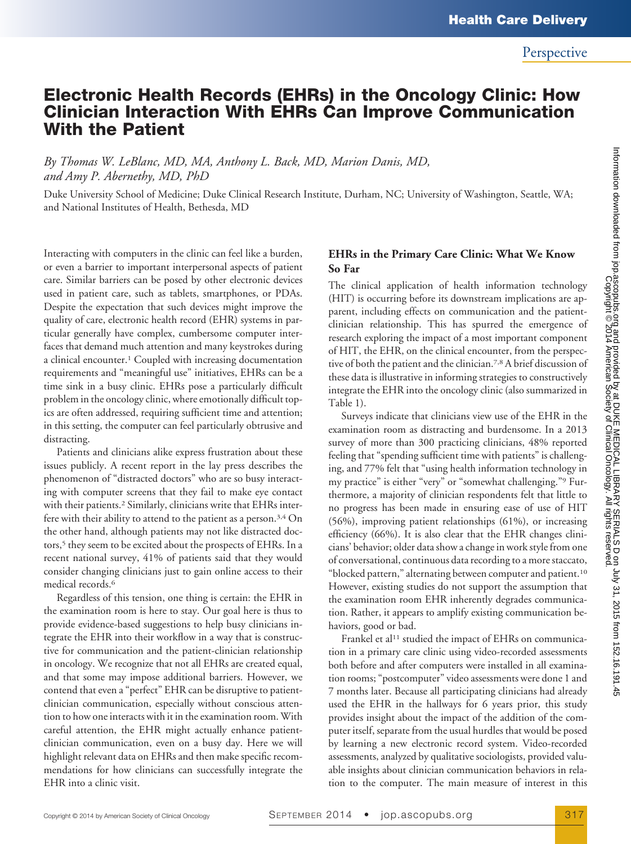# **Perspective**

# **Electronic Health Records (EHRs) in the Oncology Clinic: How Clinician Interaction With EHRs Can Improve Communication With the Patient**

*By Thomas W. LeBlanc, MD, MA, Anthony L. Back, MD, Marion Danis, MD, and Amy P. Abernethy, MD, PhD*

Duke University School of Medicine; Duke Clinical Research Institute, Durham, NC; University of Washington, Seattle, WA; and National Institutes of Health, Bethesda, MD

Interacting with computers in the clinic can feel like a burden, or even a barrier to important interpersonal aspects of patient care. Similar barriers can be posed by other electronic devices used in patient care, such as tablets, smartphones, or PDAs. Despite the expectation that such devices might improve the quality of care, electronic health record (EHR) systems in particular generally have complex, cumbersome computer interfaces that demand much attention and many keystrokes during a clinical encounter.<sup>1</sup> Coupled with increasing documentation requirements and "meaningful use" initiatives, EHRs can be a time sink in a busy clinic. EHRs pose a particularly difficult problem in the oncology clinic, where emotionally difficult topics are often addressed, requiring sufficient time and attention; in this setting, the computer can feel particularly obtrusive and distracting.

Patients and clinicians alike express frustration about these issues publicly. A recent report in the lay press describes the phenomenon of "distracted doctors" who are so busy interacting with computer screens that they fail to make eye contact with their patients.<sup>2</sup> Similarly, clinicians write that EHRs interfere with their ability to attend to the patient as a person.<sup>3,4</sup> On the other hand, although patients may not like distracted doctors,<sup>5</sup> they seem to be excited about the prospects of EHRs. In a recent national survey, 41% of patients said that they would consider changing clinicians just to gain online access to their medical records.6

Regardless of this tension, one thing is certain: the EHR in the examination room is here to stay. Our goal here is thus to provide evidence-based suggestions to help busy clinicians integrate the EHR into their workflow in a way that is constructive for communication and the patient-clinician relationship in oncology. We recognize that not all EHRs are created equal, and that some may impose additional barriers. However, we contend that even a "perfect" EHR can be disruptive to patientclinician communication, especially without conscious attention to how one interacts with it in the examination room. With careful attention, the EHR might actually enhance patientclinician communication, even on a busy day. Here we will highlight relevant data on EHRs and then make specific recommendations for how clinicians can successfully integrate the EHR into a clinic visit.

## **EHRs in the Primary Care Clinic: What We Know So Far**

The clinical application of health information technology (HIT) is occurring before its downstream implications are apparent, including effects on communication and the patientclinician relationship. This has spurred the emergence of research exploring the impact of a most important component of HIT, the EHR, on the clinical encounter, from the perspective of both the patient and the clinician.7,8 A brief discussion of these data is illustrative in informing strategies to constructively integrate the EHR into the oncology clinic (also summarized in Table 1).

Surveys indicate that clinicians view use of the EHR in the examination room as distracting and burdensome. In a 2013 survey of more than 300 practicing clinicians, 48% reported feeling that "spending sufficient time with patients" is challenging, and 77% felt that "using health information technology in my practice" is either "very" or "somewhat challenging."9 Furthermore, a majority of clinician respondents felt that little to no progress has been made in ensuring ease of use of HIT (56%), improving patient relationships (61%), or increasing efficiency (66%). It is also clear that the EHR changes clinicians' behavior; older data show a change in work style from one of conversational, continuous data recording to a more staccato, "blocked pattern," alternating between computer and patient.10 However, existing studies do not support the assumption that the examination room EHR inherently degrades communication. Rather, it appears to amplify existing communication behaviors, good or bad.

Frankel et al<sup>11</sup> studied the impact of EHRs on communication in a primary care clinic using video-recorded assessments both before and after computers were installed in all examination rooms; "postcomputer" video assessments were done 1 and 7 months later. Because all participating clinicians had already used the EHR in the hallways for 6 years prior, this study provides insight about the impact of the addition of the computer itself, separate from the usual hurdles that would be posed by learning a new electronic record system. Video-recorded assessments, analyzed by qualitative sociologists, provided valuable insights about clinician communication behaviors in relation to the computer. The main measure of interest in this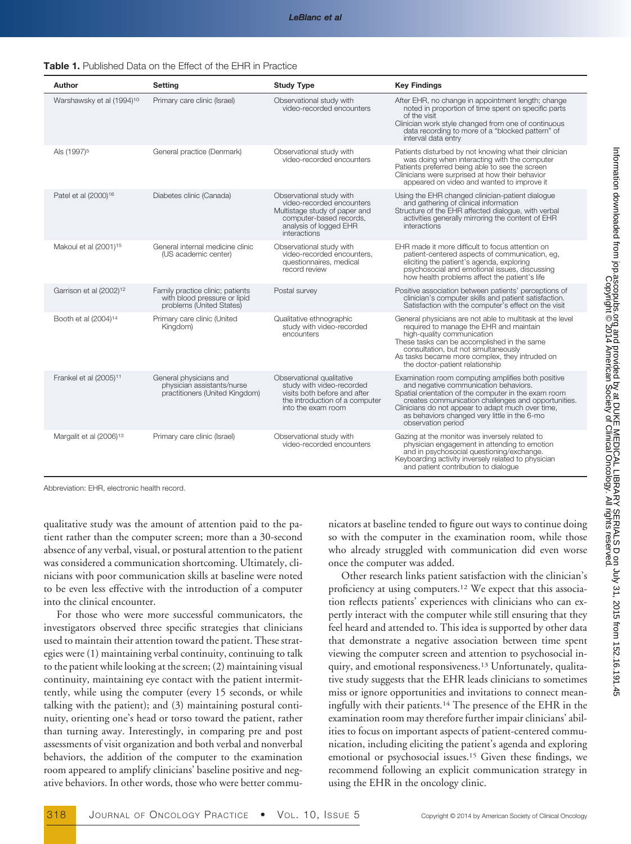| Author                                | <b>Setting</b>                                                                               | <b>Study Type</b>                                                                                                                                           | <b>Key Findings</b>                                                                                                                                                                                                                                                                                                                   |
|---------------------------------------|----------------------------------------------------------------------------------------------|-------------------------------------------------------------------------------------------------------------------------------------------------------------|---------------------------------------------------------------------------------------------------------------------------------------------------------------------------------------------------------------------------------------------------------------------------------------------------------------------------------------|
| Warshawsky et al (1994) <sup>10</sup> | Primary care clinic (Israel)                                                                 | Observational study with<br>video-recorded encounters                                                                                                       | After EHR, no change in appointment length; change<br>noted in proportion of time spent on specific parts<br>of the visit<br>Clinician work style changed from one of continuous<br>data recording to more of a "blocked pattern" of<br>interval data entry                                                                           |
| Als (1997) <sup>5</sup>               | General practice (Denmark)                                                                   | Observational study with<br>video-recorded encounters                                                                                                       | Patients disturbed by not knowing what their clinician<br>was doing when interacting with the computer<br>Patients preferred being able to see the screen<br>Clinicians were surprised at how their behavior<br>appeared on video and wanted to improve it                                                                            |
| Patel et al (2000) <sup>16</sup>      | Diabetes clinic (Canada)                                                                     | Observational study with<br>video-recorded encounters<br>Multistage study of paper and<br>computer-based records.<br>analysis of logged EHR<br>interactions | Using the EHR changed clinician-patient dialogue<br>and gathering of clinical information<br>Structure of the EHR affected dialogue, with verbal<br>activities generally mirroring the content of EHR<br><i>interactions</i>                                                                                                          |
| Makoul et al (2001) <sup>15</sup>     | General internal medicine clinic<br>(US academic center)                                     | Observational study with<br>video-recorded encounters.<br>questionnaires, medical<br>record review                                                          | EHR made it more difficult to focus attention on<br>patient-centered aspects of communication, eq.<br>eliciting the patient's agenda, exploring<br>psychosocial and emotional issues, discussing<br>how health problems affect the patient's life                                                                                     |
| Garrison et al (2002) <sup>12</sup>   | Family practice clinic; patients<br>with blood pressure or lipid<br>problems (United States) | Postal survey                                                                                                                                               | Positive association between patients' perceptions of<br>clinician's computer skills and patient satisfaction.<br>Satisfaction with the computer's effect on the visit                                                                                                                                                                |
| Booth et al (2004) <sup>14</sup>      | Primary care clinic (United<br>Kingdom)                                                      | Qualitative ethnographic<br>study with video-recorded<br>encounters                                                                                         | General physicians are not able to multitask at the level<br>required to manage the EHR and maintain<br>high-quality communication<br>These tasks can be accomplished in the same<br>consultation, but not simultaneously<br>As tasks became more complex, they intruded on<br>the doctor-patient relationship                        |
| Frankel et al (2005) <sup>11</sup>    | General physicians and<br>physician assistants/nurse<br>practitioners (United Kingdom)       | Observational qualitative<br>study with video-recorded<br>visits both before and after<br>the introduction of a computer<br>into the exam room              | Examination room computing amplifies both positive<br>and negative communication behaviors.<br>Spatial orientation of the computer in the exam room<br>creates communication challenges and opportunities.<br>Clinicians do not appear to adapt much over time,<br>as behaviors changed very little in the 6-mo<br>observation period |
| Margalit et al (2006) <sup>13</sup>   | Primary care clinic (Israel)                                                                 | Observational study with<br>video-recorded encounters                                                                                                       | Gazing at the monitor was inversely related to<br>physician engagement in attending to emotion<br>and in psychosocial questioning/exchange.<br>Keyboarding activity inversely related to physician<br>and patient contribution to dialogue                                                                                            |

|  | <b>Table 1.</b> Published Data on the Effect of the EHR in Practice |  |  |  |  |
|--|---------------------------------------------------------------------|--|--|--|--|
|  |                                                                     |  |  |  |  |

Abbreviation: EHR, electronic health record.

qualitative study was the amount of attention paid to the patient rather than the computer screen; more than a 30-second absence of any verbal, visual, or postural attention to the patient was considered a communication shortcoming. Ultimately, clinicians with poor communication skills at baseline were noted to be even less effective with the introduction of a computer into the clinical encounter.

For those who were more successful communicators, the investigators observed three specific strategies that clinicians used to maintain their attention toward the patient. These strategies were (1) maintaining verbal continuity, continuing to talk to the patient while looking at the screen; (2) maintaining visual continuity, maintaining eye contact with the patient intermittently, while using the computer (every 15 seconds, or while talking with the patient); and (3) maintaining postural continuity, orienting one's head or torso toward the patient, rather than turning away. Interestingly, in comparing pre and post assessments of visit organization and both verbal and nonverbal behaviors, the addition of the computer to the examination room appeared to amplify clinicians' baseline positive and negative behaviors. In other words, those who were better communicators at baseline tended to figure out ways to continue doing so with the computer in the examination room, while those who already struggled with communication did even worse once the computer was added.

Other research links patient satisfaction with the clinician's proficiency at using computers.12 We expect that this association reflects patients' experiences with clinicians who can expertly interact with the computer while still ensuring that they feel heard and attended to. This idea is supported by other data that demonstrate a negative association between time spent viewing the computer screen and attention to psychosocial inquiry, and emotional responsiveness.13 Unfortunately, qualitative study suggests that the EHR leads clinicians to sometimes miss or ignore opportunities and invitations to connect meaningfully with their patients.14 The presence of the EHR in the examination room may therefore further impair clinicians' abilities to focus on important aspects of patient-centered communication, including eliciting the patient's agenda and exploring emotional or psychosocial issues.15 Given these findings, we recommend following an explicit communication strategy in using the EHR in the oncology clinic.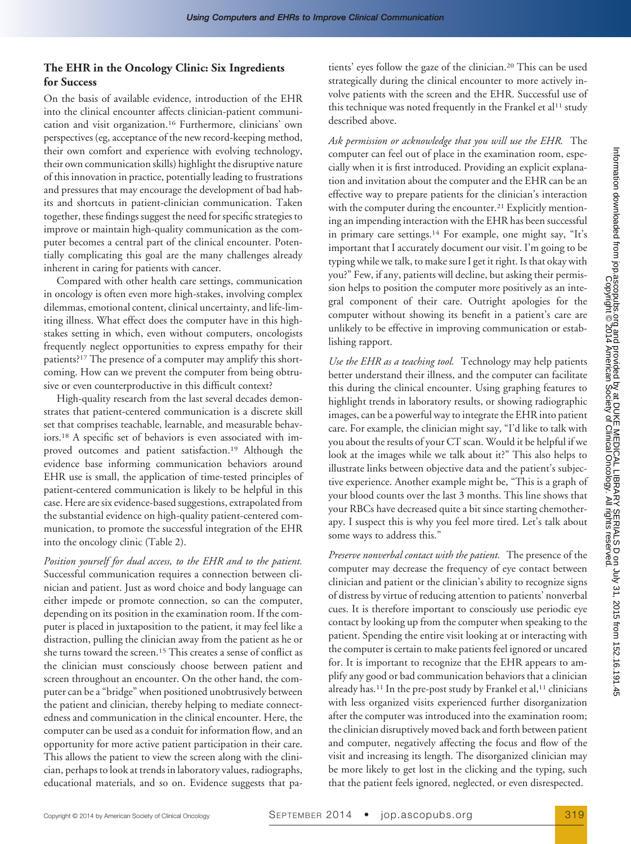# **The EHR in the Oncology Clinic: Six Ingredients for Success**

On the basis of available evidence, introduction of the EHR into the clinical encounter affects clinician-patient communication and visit organization.16 Furthermore, clinicians' own perspectives (eg, acceptance of the new record-keeping method, their own comfort and experience with evolving technology, their own communication skills) highlight the disruptive nature of this innovation in practice, potentially leading to frustrations and pressures that may encourage the development of bad habits and shortcuts in patient-clinician communication. Taken together, these findings suggest the need for specific strategies to improve or maintain high-quality communication as the computer becomes a central part of the clinical encounter. Potentially complicating this goal are the many challenges already inherent in caring for patients with cancer.

Compared with other health care settings, communication in oncology is often even more high-stakes, involving complex dilemmas, emotional content, clinical uncertainty, and life-limiting illness. What effect does the computer have in this highstakes setting in which, even without computers, oncologists frequently neglect opportunities to express empathy for their patients?<sup>17</sup> The presence of a computer may amplify this shortcoming. How can we prevent the computer from being obtrusive or even counterproductive in this difficult context?

High-quality research from the last several decades demonstrates that patient-centered communication is a discrete skill set that comprises teachable, learnable, and measurable behaviors.18 A specific set of behaviors is even associated with improved outcomes and patient satisfaction.19 Although the evidence base informing communication behaviors around EHR use is small, the application of time-tested principles of patient-centered communication is likely to be helpful in this case. Here are six evidence-based suggestions, extrapolated from the substantial evidence on high-quality patient-centered communication, to promote the successful integration of the EHR into the oncology clinic (Table 2).

*Position yourself for dual access, to the EHR and to the patient.* Successful communication requires a connection between clinician and patient. Just as word choice and body language can either impede or promote connection, so can the computer, depending on its position in the examination room. If the computer is placed in juxtaposition to the patient, it may feel like a distraction, pulling the clinician away from the patient as he or she turns toward the screen.<sup>15</sup> This creates a sense of conflict as the clinician must consciously choose between patient and screen throughout an encounter. On the other hand, the computer can be a "bridge" when positioned unobtrusively between the patient and clinician, thereby helping to mediate connectedness and communication in the clinical encounter. Here, the computer can be used as a conduit for information flow, and an opportunity for more active patient participation in their care. This allows the patient to view the screen along with the clinician, perhaps to look at trends in laboratory values, radiographs, educational materials, and so on. Evidence suggests that patients' eyes follow the gaze of the clinician.20 This can be used strategically during the clinical encounter to more actively involve patients with the screen and the EHR. Successful use of this technique was noted frequently in the Frankel et al<sup>11</sup> study described above.

*Ask permission or acknowledge that you will use the EHR.* The computer can feel out of place in the examination room, especially when it is first introduced. Providing an explicit explanation and invitation about the computer and the EHR can be an effective way to prepare patients for the clinician's interaction with the computer during the encounter.<sup>21</sup> Explicitly mentioning an impending interaction with the EHR has been successful in primary care settings.14 For example, one might say, "It's important that I accurately document our visit. I'm going to be typing while we talk, to make sure I get it right. Is that okay with you?" Few, if any, patients will decline, but asking their permission helps to position the computer more positively as an integral component of their care. Outright apologies for the computer without showing its benefit in a patient's care are unlikely to be effective in improving communication or establishing rapport.

*Use the EHR as a teaching tool.* Technology may help patients better understand their illness, and the computer can facilitate this during the clinical encounter. Using graphing features to highlight trends in laboratory results, or showing radiographic images, can be a powerful way to integrate the EHR into patient care. For example, the clinician might say, "I'd like to talk with you about the results of your CT scan. Would it be helpful if we look at the images while we talk about it?" This also helps to illustrate links between objective data and the patient's subjective experience. Another example might be, "This is a graph of your blood counts over the last 3 months. This line shows that your RBCs have decreased quite a bit since starting chemotherapy. I suspect this is why you feel more tired. Let's talk about some ways to address this."

*Preserve nonverbal contact with the patient.* The presence of the computer may decrease the frequency of eye contact between clinician and patient or the clinician's ability to recognize signs of distress by virtue of reducing attention to patients' nonverbal cues. It is therefore important to consciously use periodic eye contact by looking up from the computer when speaking to the patient. Spending the entire visit looking at or interacting with the computer is certain to make patients feel ignored or uncared for. It is important to recognize that the EHR appears to amplify any good or bad communication behaviors that a clinician already has.<sup>11</sup> In the pre-post study by Frankel et al,<sup>11</sup> clinicians with less organized visits experienced further disorganization after the computer was introduced into the examination room; the clinician disruptively moved back and forth between patient and computer, negatively affecting the focus and flow of the visit and increasing its length. The disorganized clinician may be more likely to get lost in the clicking and the typing, such that the patient feels ignored, neglected, or even disrespected.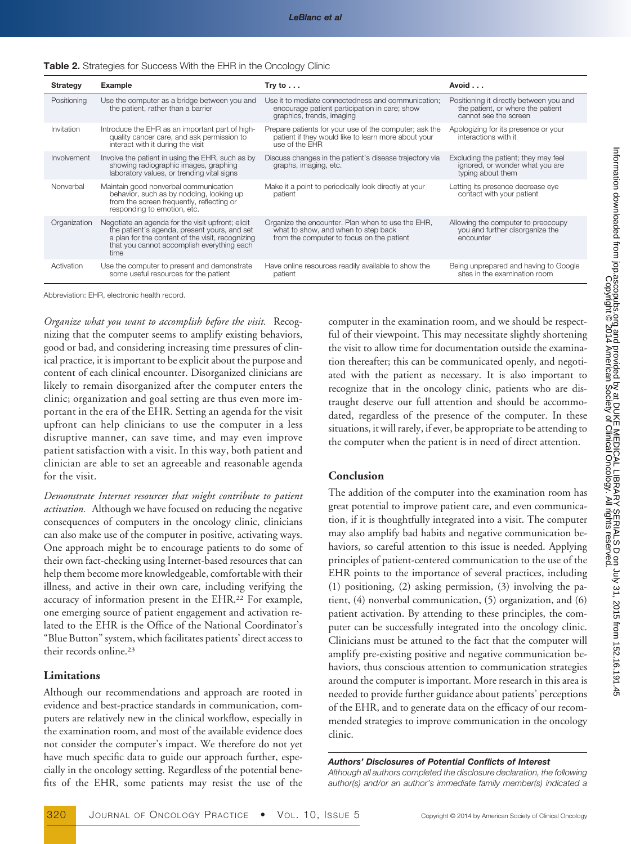| <b>Strategy</b> | Example                                                                                                                                                                                                     | Try to $\ldots$                                                                                                                       | Avoid $\ldots$                                                                                        |
|-----------------|-------------------------------------------------------------------------------------------------------------------------------------------------------------------------------------------------------------|---------------------------------------------------------------------------------------------------------------------------------------|-------------------------------------------------------------------------------------------------------|
| Positioning     | Use the computer as a bridge between you and<br>the patient, rather than a barrier                                                                                                                          | Use it to mediate connectedness and communication;<br>encourage patient participation in care; show<br>graphics, trends, imaging      | Positioning it directly between you and<br>the patient, or where the patient<br>cannot see the screen |
| Invitation      | Introduce the EHR as an important part of high-<br>quality cancer care, and ask permission to<br>interact with it during the visit                                                                          | Prepare patients for your use of the computer; ask the<br>patient if they would like to learn more about your<br>use of the EHR       | Apologizing for its presence or your<br>interactions with it                                          |
| Involvement     | Involve the patient in using the EHR, such as by<br>showing radiographic images, graphing<br>laboratory values, or trending vital signs                                                                     | Discuss changes in the patient's disease trajectory via<br>graphs, imaging, etc.                                                      | Excluding the patient; they may feel<br>ignored, or wonder what you are<br>typing about them          |
| Nonverbal       | Maintain good nonverbal communication<br>behavior, such as by nodding, looking up<br>from the screen frequently, reflecting or<br>responding to emotion, etc.                                               | Make it a point to periodically look directly at your<br>patient                                                                      | Letting its presence decrease eye<br>contact with your patient                                        |
| Organization    | Negotiate an agenda for the visit upfront; elicit<br>the patient's agenda, present yours, and set<br>a plan for the content of the visit, recognizing<br>that you cannot accomplish everything each<br>time | Organize the encounter. Plan when to use the EHR,<br>what to show, and when to step back<br>from the computer to focus on the patient | Allowing the computer to preoccupy<br>you and further disorganize the<br>encounter                    |
| Activation      | Use the computer to present and demonstrate<br>some useful resources for the patient                                                                                                                        | Have online resources readily available to show the<br>patient                                                                        | Being unprepared and having to Google<br>sites in the examination room                                |

| <b>Table 2.</b> Strategies for Success With the EHR in the Oncology Clinic |  |  |
|----------------------------------------------------------------------------|--|--|
|----------------------------------------------------------------------------|--|--|

Abbreviation: EHR, electronic health record.

*Organize what you want to accomplish before the visit.* Recognizing that the computer seems to amplify existing behaviors, good or bad, and considering increasing time pressures of clinical practice, it is important to be explicit about the purpose and content of each clinical encounter. Disorganized clinicians are likely to remain disorganized after the computer enters the clinic; organization and goal setting are thus even more important in the era of the EHR. Setting an agenda for the visit upfront can help clinicians to use the computer in a less disruptive manner, can save time, and may even improve patient satisfaction with a visit. In this way, both patient and clinician are able to set an agreeable and reasonable agenda for the visit.

*Demonstrate Internet resources that might contribute to patient activation.* Although we have focused on reducing the negative consequences of computers in the oncology clinic, clinicians can also make use of the computer in positive, activating ways. One approach might be to encourage patients to do some of their own fact-checking using Internet-based resources that can help them become more knowledgeable, comfortable with their illness, and active in their own care, including verifying the accuracy of information present in the EHR.22 For example, one emerging source of patient engagement and activation related to the EHR is the Office of the National Coordinator's "Blue Button" system, which facilitates patients' direct access to their records online.23

### **Limitations**

Although our recommendations and approach are rooted in evidence and best-practice standards in communication, computers are relatively new in the clinical workflow, especially in the examination room, and most of the available evidence does not consider the computer's impact. We therefore do not yet have much specific data to guide our approach further, especially in the oncology setting. Regardless of the potential benefits of the EHR, some patients may resist the use of the computer in the examination room, and we should be respectful of their viewpoint. This may necessitate slightly shortening the visit to allow time for documentation outside the examination thereafter; this can be communicated openly, and negotiated with the patient as necessary. It is also important to recognize that in the oncology clinic, patients who are distraught deserve our full attention and should be accommodated, regardless of the presence of the computer. In these situations, it will rarely, if ever, be appropriate to be attending to the computer when the patient is in need of direct attention.

## **Conclusion**

The addition of the computer into the examination room has great potential to improve patient care, and even communication, if it is thoughtfully integrated into a visit. The computer may also amplify bad habits and negative communication behaviors, so careful attention to this issue is needed. Applying principles of patient-centered communication to the use of the EHR points to the importance of several practices, including (1) positioning, (2) asking permission, (3) involving the patient, (4) nonverbal communication, (5) organization, and (6) patient activation. By attending to these principles, the computer can be successfully integrated into the oncology clinic. Clinicians must be attuned to the fact that the computer will amplify pre-existing positive and negative communication behaviors, thus conscious attention to communication strategies around the computer is important. More research in this area is needed to provide further guidance about patients' perceptions of the EHR, and to generate data on the efficacy of our recommended strategies to improve communication in the oncology clinic.

*Authors' Disclosures of Potential Conflicts of Interest Although all authors completed the disclosure declaration, the following author(s) and/or an author's immediate family member(s) indicated a*